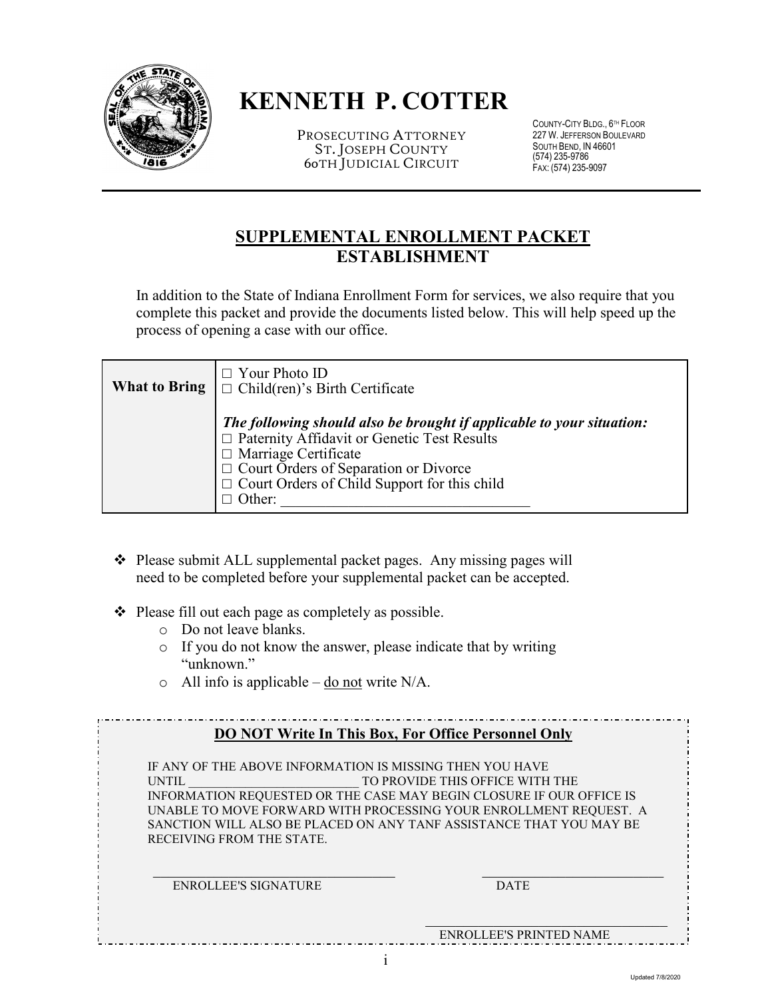

# **KENNETH P. COTTER**

PROSECUTING ATTORNEY ST. JOSEPH COUNTY 60TH JUDICIAL CIRCUIT

COUNTY-CITY BLDG., 6 TH FLOOR 227 W. JEFFERSON BOULEVARD SOUTH BEND, IN 46601 (574) 235-9786 FAX: (574) 235-9097

## **SUPPLEMENTAL ENROLLMENT PACKET ESTABLISHMENT**

In addition to the State of Indiana Enrollment Form for services, we also require that you complete this packet and provide the documents listed below. This will help speed up the process of opening a case with our office.

| <b>What to Bring</b> $\Box$ Your Photo ID<br>$\Box$ Child(ren)'s Birth Certificate                                                                                                                                                                                |
|-------------------------------------------------------------------------------------------------------------------------------------------------------------------------------------------------------------------------------------------------------------------|
| The following should also be brought if applicable to your situation:<br>□ Paternity Affidavit or Genetic Test Results<br>□ Marriage Certificate<br>$\Box$ Court Orders of Separation or Divorce<br>$\Box$ Court Orders of Child Support for this child<br>Other: |

- ◆ Please submit ALL supplemental packet pages. Any missing pages will need to be completed before your supplemental packet can be accepted.
- $\triangle$  Please fill out each page as completely as possible.
	- o Do not leave blanks.
	- o If you do not know the answer, please indicate that by writing "unknown."
	- $\circ$  All info is applicable <u>do not</u> write N/A.

|  |  |  | <b>DO NOT Write In This Box, For Office Personnel Only</b> |  |
|--|--|--|------------------------------------------------------------|--|
|  |  |  |                                                            |  |

IF ANY OF THE ABOVE INFORMATION IS MISSING THEN YOU HAVE UNTIL **TO PROVIDE THIS OFFICE WITH THE** INFORMATION REQUESTED OR THE CASE MAY BEGIN CLOSURE IF OUR OFFICE IS UNABLE TO MOVE FORWARD WITH PROCESSING YOUR ENROLLMENT REQUEST. A SANCTION WILL ALSO BE PLACED ON ANY TANF ASSISTANCE THAT YOU MAY BE RECEIVING FROM THE STATE.

 $\mathcal{L}_\text{max}$  , and the contribution of the contribution of  $\mathcal{L}_\text{max}$  , and the contribution of  $\mathcal{L}_\text{max}$ ENROLLEE'S SIGNATURE DATE

ENROLLEE'S PRINTED NAME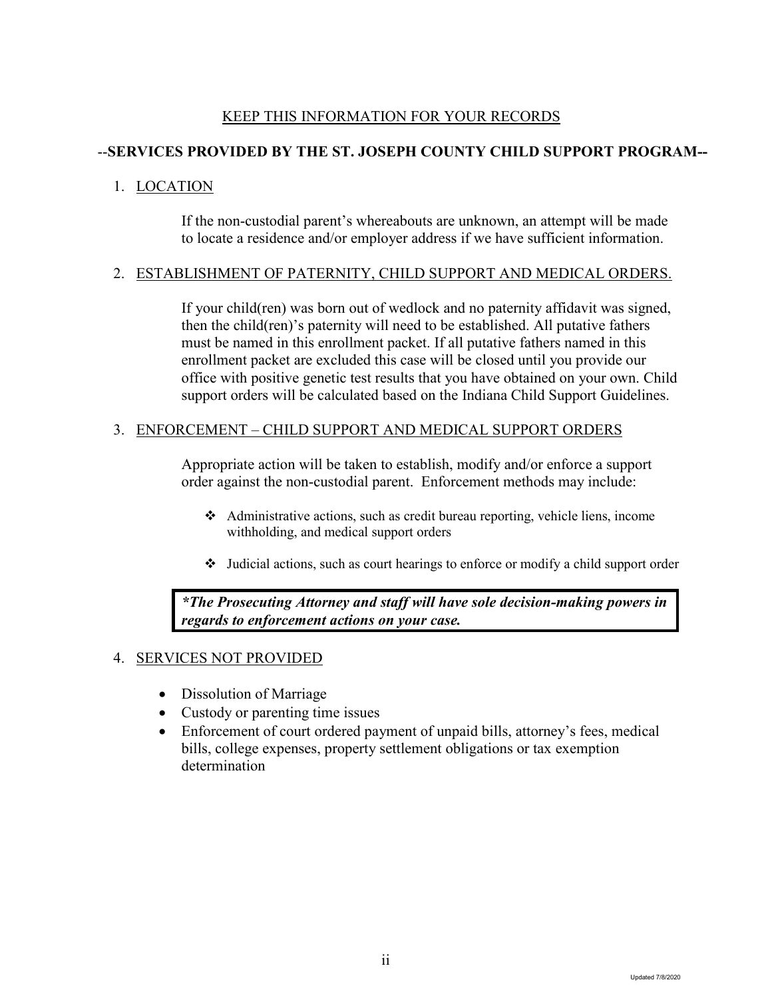### KEEP THIS INFORMATION FOR YOUR RECORDS

#### --**SERVICES PROVIDED BY THE ST. JOSEPH COUNTY CHILD SUPPORT PROGRAM--**

#### 1. LOCATION

If the non-custodial parent's whereabouts are unknown, an attempt will be made to locate a residence and/or employer address if we have sufficient information.

#### 2. ESTABLISHMENT OF PATERNITY, CHILD SUPPORT AND MEDICAL ORDERS.

If your child(ren) was born out of wedlock and no paternity affidavit was signed, then the child(ren)'s paternity will need to be established. All putative fathers must be named in this enrollment packet. If all putative fathers named in this enrollment packet are excluded this case will be closed until you provide our office with positive genetic test results that you have obtained on your own. Child support orders will be calculated based on the Indiana Child Support Guidelines.

#### 3. ENFORCEMENT – CHILD SUPPORT AND MEDICAL SUPPORT ORDERS

Appropriate action will be taken to establish, modify and/or enforce a support order against the non-custodial parent. Enforcement methods may include:

- Administrative actions, such as credit bureau reporting, vehicle liens, income withholding, and medical support orders
- $\bullet$  Judicial actions, such as court hearings to enforce or modify a child support order

*\*The Prosecuting Attorney and staff will have sole decision-making powers in regards to enforcement actions on your case.* 

#### 4. SERVICES NOT PROVIDED

- Dissolution of Marriage
- Custody or parenting time issues
- Enforcement of court ordered payment of unpaid bills, attorney's fees, medical bills, college expenses, property settlement obligations or tax exemption determination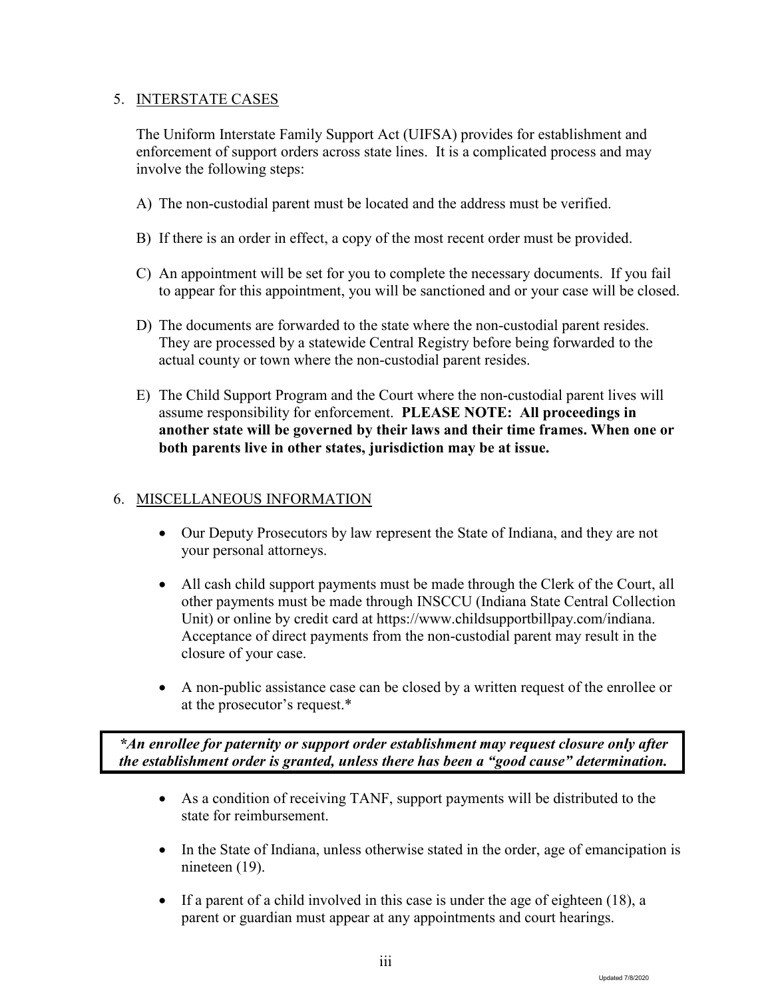#### 5. INTERSTATE CASES

The Uniform Interstate Family Support Act (UIFSA) provides for establishment and enforcement of support orders across state lines. It is a complicated process and may involve the following steps:

- A) The non-custodial parent must be located and the address must be verified.
- B) If there is an order in effect, a copy of the most recent order must be provided.
- C) An appointment will be set for you to complete the necessary documents. If you fail to appear for this appointment, you will be sanctioned and or your case will be closed.
- D) The documents are forwarded to the state where the non-custodial parent resides. They are processed by a statewide Central Registry before being forwarded to the actual county or town where the non-custodial parent resides.
- E) The Child Support Program and the Court where the non-custodial parent lives will assume responsibility for enforcement. **PLEASE NOTE: All proceedings in another state will be governed by their laws and their time frames. When one or both parents live in other states, jurisdiction may be at issue.**

#### 6. MISCELLANEOUS INFORMATION

- Our Deputy Prosecutors by law represent the State of Indiana, and they are not your personal attorneys.
- All cash child support payments must be made through the Clerk of the Court, all other payments must be made through INSCCU (Indiana State Central Collection Unit) or online by credit card at https://www.childsupportbillpay.com/indiana. Acceptance of direct payments from the non-custodial parent may result in the closure of your case.
- A non-public assistance case can be closed by a written request of the enrollee or at the prosecutor's request.\*

*\*An enrollee for paternity or support order establishment may request closure only after the establishment order is granted, unless there has been a "good cause" determination.* 

- As a condition of receiving TANF, support payments will be distributed to the state for reimbursement.
- In the State of Indiana, unless otherwise stated in the order, age of emancipation is nineteen (19).
- If a parent of a child involved in this case is under the age of eighteen (18), a parent or guardian must appear at any appointments and court hearings.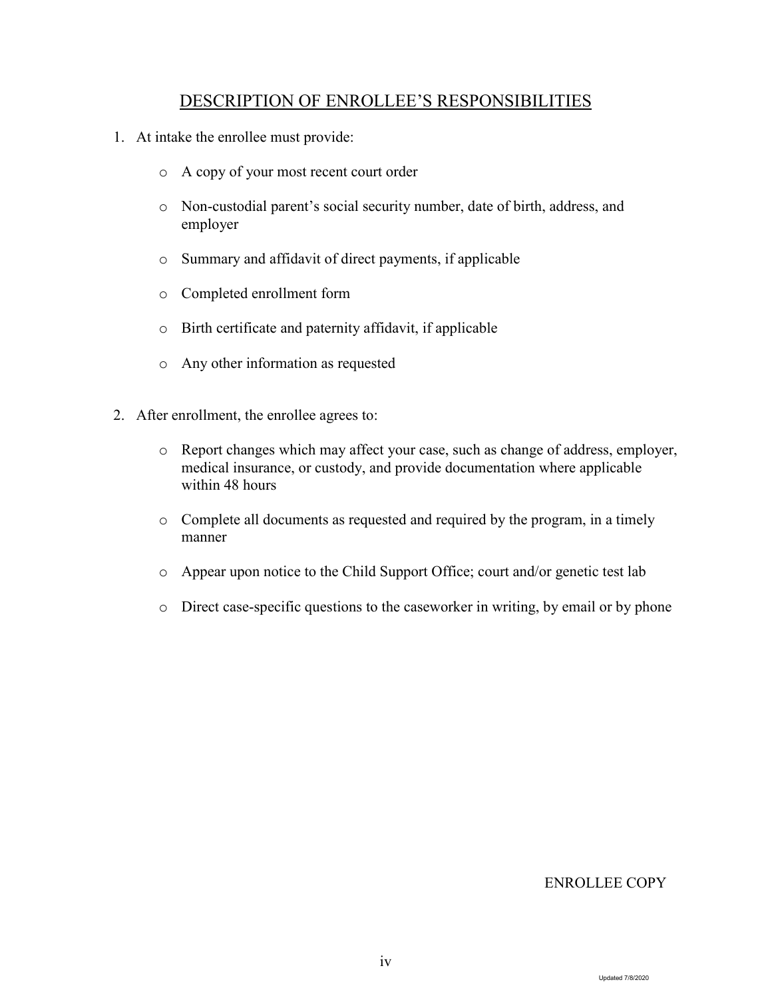## DESCRIPTION OF ENROLLEE'S RESPONSIBILITIES

- 1. At intake the enrollee must provide:
	- o A copy of your most recent court order
	- o Non-custodial parent's social security number, date of birth, address, and employer
	- o Summary and affidavit of direct payments, if applicable
	- o Completed enrollment form
	- o Birth certificate and paternity affidavit, if applicable
	- o Any other information as requested
- 2. After enrollment, the enrollee agrees to:
	- o Report changes which may affect your case, such as change of address, employer, medical insurance, or custody, and provide documentation where applicable within 48 hours
	- o Complete all documents as requested and required by the program, in a timely manner
	- o Appear upon notice to the Child Support Office; court and/or genetic test lab
	- o Direct case-specific questions to the caseworker in writing, by email or by phone

#### ENROLLEE COPY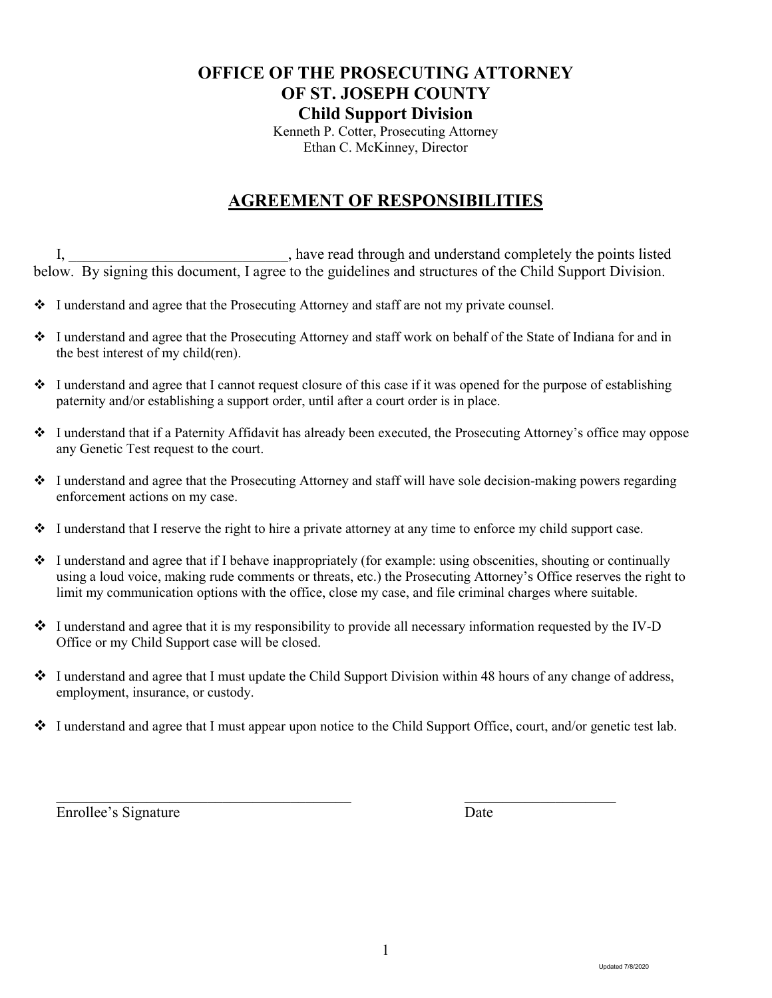## **OFFICE OF THE PROSECUTING ATTORNEY OF ST. JOSEPH COUNTY Child Support Division**

Kenneth P. Cotter, Prosecuting Attorney Ethan C. McKinney, Director

## **AGREEMENT OF RESPONSIBILITIES**

I, have read through and understand completely the points listed below. By signing this document, I agree to the guidelines and structures of the Child Support Division.

- I understand and agree that the Prosecuting Attorney and staff are not my private counsel.
- I understand and agree that the Prosecuting Attorney and staff work on behalf of the State of Indiana for and in the best interest of my child(ren).
- $\cdot \cdot$  I understand and agree that I cannot request closure of this case if it was opened for the purpose of establishing paternity and/or establishing a support order, until after a court order is in place.
- I understand that if a Paternity Affidavit has already been executed, the Prosecuting Attorney's office may oppose any Genetic Test request to the court.
- I understand and agree that the Prosecuting Attorney and staff will have sole decision-making powers regarding enforcement actions on my case.
- $\cdot \cdot$  I understand that I reserve the right to hire a private attorney at any time to enforce my child support case.
- I understand and agree that if I behave inappropriately (for example: using obscenities, shouting or continually using a loud voice, making rude comments or threats, etc.) the Prosecuting Attorney's Office reserves the right to limit my communication options with the office, close my case, and file criminal charges where suitable.
- $\bullet$  I understand and agree that it is my responsibility to provide all necessary information requested by the IV-D Office or my Child Support case will be closed.
- $\cdot \cdot$  I understand and agree that I must update the Child Support Division within 48 hours of any change of address, employment, insurance, or custody.
- I understand and agree that I must appear upon notice to the Child Support Office, court, and/or genetic test lab.

 $\mathcal{L}_\text{max}$  , and the contribution of the contribution of  $\mathcal{L}_\text{max}$  , and the contribution of  $\mathcal{L}_\text{max}$ 

Enrollee's Signature Date

1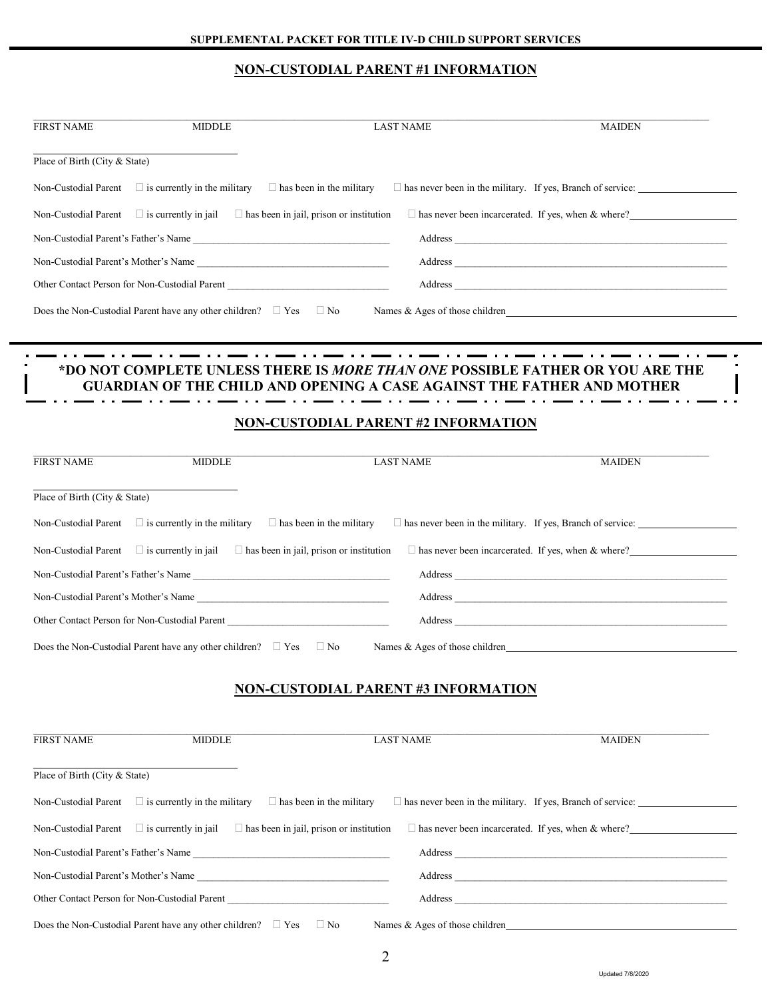### **NON-CUSTODIAL PARENT #1 INFORMATION**

| <b>FIRST NAME</b>                                                                                  | <b>MIDDLE</b>                                                               | <b>LAST NAME</b>                                                                                                                                                      | <b>MAIDEN</b>                                                                                                                                                                                                                 |
|----------------------------------------------------------------------------------------------------|-----------------------------------------------------------------------------|-----------------------------------------------------------------------------------------------------------------------------------------------------------------------|-------------------------------------------------------------------------------------------------------------------------------------------------------------------------------------------------------------------------------|
| Place of Birth (City & State)                                                                      |                                                                             |                                                                                                                                                                       |                                                                                                                                                                                                                               |
| Non-Custodial Parent                                                                               | $\Box$ is currently in the military                                         | $\Box$ has been in the military                                                                                                                                       |                                                                                                                                                                                                                               |
| Non-Custodial Parent                                                                               | $\Box$ is currently in jail $\Box$ has been in jail, prison or institution  |                                                                                                                                                                       | $\Box$ has never been incarcerated. If yes, when & where?                                                                                                                                                                     |
|                                                                                                    | Non-Custodial Parent's Father's Name                                        |                                                                                                                                                                       |                                                                                                                                                                                                                               |
|                                                                                                    | Non-Custodial Parent's Mother's Name                                        |                                                                                                                                                                       |                                                                                                                                                                                                                               |
|                                                                                                    | Other Contact Person for Non-Custodial Parent                               |                                                                                                                                                                       | Address and the company of the company of the company of the company of the company of the company of the company of the company of the company of the company of the company of the company of the company of the company of |
|                                                                                                    | Does the Non-Custodial Parent have any other children? $\Box$ Yes $\Box$ No |                                                                                                                                                                       |                                                                                                                                                                                                                               |
|                                                                                                    |                                                                             |                                                                                                                                                                       |                                                                                                                                                                                                                               |
|                                                                                                    |                                                                             |                                                                                                                                                                       |                                                                                                                                                                                                                               |
|                                                                                                    |                                                                             | *DO NOT COMPLETE UNLESS THERE IS <i>MORE THAN ONE</i> POSSIBLE FATHER OR YOU ARE THE<br><b>GUARDIAN OF THE CHILD AND OPENING A CASE AGAINST THE FATHER AND MOTHER</b> |                                                                                                                                                                                                                               |
|                                                                                                    |                                                                             |                                                                                                                                                                       |                                                                                                                                                                                                                               |
|                                                                                                    |                                                                             | <b>NON-CUSTODIAL PARENT #2 INFORMATION</b>                                                                                                                            |                                                                                                                                                                                                                               |
|                                                                                                    |                                                                             |                                                                                                                                                                       |                                                                                                                                                                                                                               |
| <b>FIRST NAME</b>                                                                                  | <b>MIDDLE</b>                                                               | <b>LAST NAME</b>                                                                                                                                                      | <b>MAIDEN</b>                                                                                                                                                                                                                 |
|                                                                                                    |                                                                             |                                                                                                                                                                       |                                                                                                                                                                                                                               |
|                                                                                                    |                                                                             |                                                                                                                                                                       |                                                                                                                                                                                                                               |
|                                                                                                    |                                                                             |                                                                                                                                                                       |                                                                                                                                                                                                                               |
|                                                                                                    | $\Box$ is currently in the military $\Box$ has been in the military         |                                                                                                                                                                       |                                                                                                                                                                                                                               |
|                                                                                                    | $\Box$ is currently in jail $\Box$ has been in jail, prison or institution  |                                                                                                                                                                       | $\Box$ has never been incarcerated. If yes, when & where?                                                                                                                                                                     |
|                                                                                                    | Non-Custodial Parent's Father's Name                                        |                                                                                                                                                                       |                                                                                                                                                                                                                               |
|                                                                                                    | Non-Custodial Parent's Mother's Name                                        |                                                                                                                                                                       |                                                                                                                                                                                                                               |
| Place of Birth (City & State)<br>Non-Custodial Parent<br>Non-Custodial Parent                      | Other Contact Person for Non-Custodial Parent                               |                                                                                                                                                                       |                                                                                                                                                                                                                               |
|                                                                                                    | Does the Non-Custodial Parent have any other children? $\Box$ Yes $\Box$ No |                                                                                                                                                                       | Names & Ages of those children <b>Exercise 2.2</b> Names & Ages of those children                                                                                                                                             |
|                                                                                                    |                                                                             |                                                                                                                                                                       |                                                                                                                                                                                                                               |
|                                                                                                    |                                                                             | <b>NON-CUSTODIAL PARENT #3 INFORMATION</b>                                                                                                                            |                                                                                                                                                                                                                               |
|                                                                                                    |                                                                             |                                                                                                                                                                       |                                                                                                                                                                                                                               |
|                                                                                                    | <b>MIDDLE</b>                                                               | <b>LAST NAME</b>                                                                                                                                                      | <b>MAIDEN</b>                                                                                                                                                                                                                 |
|                                                                                                    |                                                                             |                                                                                                                                                                       |                                                                                                                                                                                                                               |
|                                                                                                    |                                                                             |                                                                                                                                                                       |                                                                                                                                                                                                                               |
|                                                                                                    | $\Box$ is currently in the military                                         | $\Box$ has been in the military                                                                                                                                       |                                                                                                                                                                                                                               |
|                                                                                                    | $\Box$ is currently in jail $\Box$ has been in jail, prison or institution  |                                                                                                                                                                       | $\Box$ has never been incarcerated. If yes, when & where?                                                                                                                                                                     |
| <b>FIRST NAME</b><br>Place of Birth (City & State)<br>Non-Custodial Parent<br>Non-Custodial Parent | Non-Custodial Parent's Father's Name                                        |                                                                                                                                                                       |                                                                                                                                                                                                                               |
|                                                                                                    | Non-Custodial Parent's Mother's Name                                        |                                                                                                                                                                       |                                                                                                                                                                                                                               |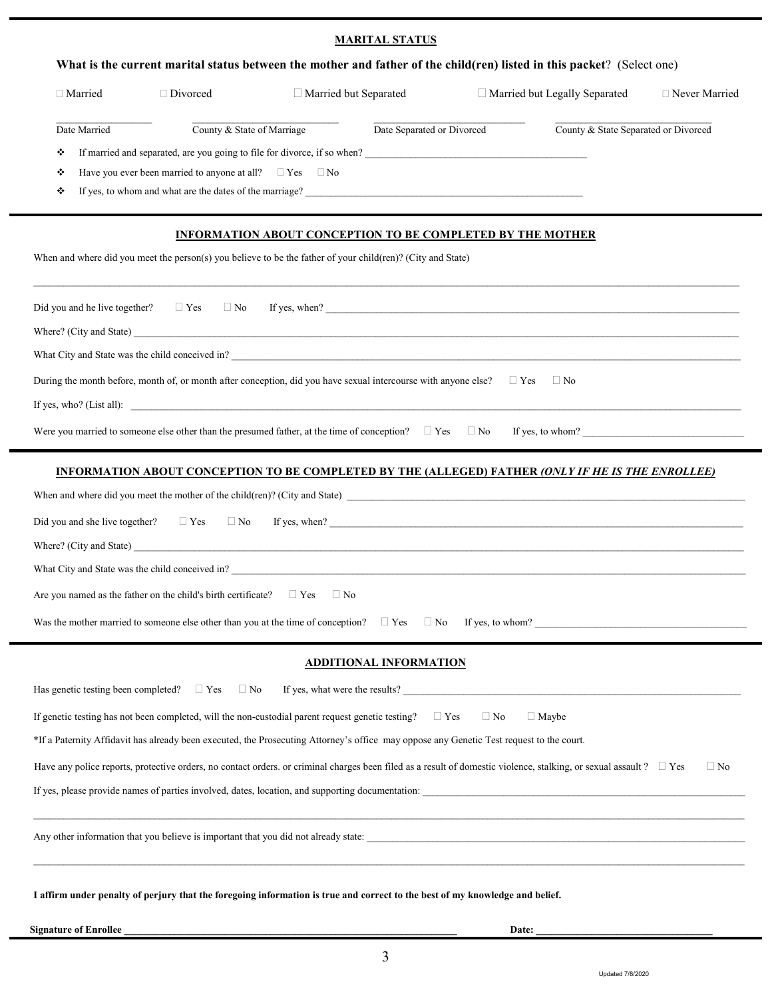#### **MARITAL STATUS**

|                                          |                                                                             | What is the current marital status between the mother and father of the child(ren) listed in this packet? (Select one)                                                                                                         |                               |                           |                                      |                  |
|------------------------------------------|-----------------------------------------------------------------------------|--------------------------------------------------------------------------------------------------------------------------------------------------------------------------------------------------------------------------------|-------------------------------|---------------------------|--------------------------------------|------------------|
| □ Married                                | □ Divorced                                                                  | Married but Separated                                                                                                                                                                                                          |                               |                           | $\Box$ Married but Legally Separated | □ Never Married  |
| Date Married                             | County & State of Marriage                                                  |                                                                                                                                                                                                                                | Date Separated or Divorced    |                           | County & State Separated or Divorced |                  |
| ❖                                        |                                                                             | If married and separated, are you going to file for divorce, if so when?                                                                                                                                                       |                               |                           |                                      |                  |
| ❖                                        | Have you ever been married to anyone at all? $\square$ Yes $\square$ No     |                                                                                                                                                                                                                                |                               |                           |                                      |                  |
| ❖                                        |                                                                             | If yes, to whom and what are the dates of the marriage?<br><u>Conservation</u>                                                                                                                                                 |                               |                           |                                      |                  |
|                                          |                                                                             | <b>INFORMATION ABOUT CONCEPTION TO BE COMPLETED BY THE MOTHER</b>                                                                                                                                                              |                               |                           |                                      |                  |
|                                          |                                                                             | When and where did you meet the person(s) you believe to be the father of your child(ren)? (City and State)                                                                                                                    |                               |                           |                                      |                  |
| Did you and he live together? $\Box$ Yes | $\Box$ No                                                                   |                                                                                                                                                                                                                                |                               |                           |                                      |                  |
|                                          |                                                                             | Where? (City and State) has a state of the state of the state of the state of the state of the state of the state of the state of the state of the state of the state of the state of the state of the state of the state of t |                               |                           |                                      |                  |
|                                          |                                                                             | What City and State was the child conceived in?                                                                                                                                                                                |                               |                           |                                      |                  |
|                                          |                                                                             | During the month before, month of, or month after conception, did you have sexual intercourse with anyone else?                                                                                                                |                               | $\Box$ Yes                | $\Box$ No                            |                  |
|                                          |                                                                             | If yes, who? (List all):                                                                                                                                                                                                       |                               |                           |                                      |                  |
|                                          |                                                                             | Were you married to someone else other than the presumed father, at the time of conception? $\Box$ Yes $\Box$ No                                                                                                               |                               |                           |                                      | If yes, to whom? |
|                                          |                                                                             | INFORMATION ABOUT CONCEPTION TO BE COMPLETED BY THE (ALLEGED) FATHER (ONLY IF HE IS THE ENROLLEE)                                                                                                                              |                               |                           |                                      |                  |
|                                          |                                                                             | When and where did you meet the mother of the child(ren)? (City and State)                                                                                                                                                     |                               |                           |                                      |                  |
|                                          |                                                                             | Did you and she live together? $\Box$ Yes $\Box$ No If yes, when?                                                                                                                                                              |                               |                           |                                      |                  |
|                                          |                                                                             |                                                                                                                                                                                                                                |                               |                           |                                      |                  |
|                                          |                                                                             | What City and State was the child conceived in?<br><u> and</u> conceived in 2                                                                                                                                                  |                               |                           |                                      |                  |
|                                          | Are you named as the father on the child's birth certificate? $\square$ Yes | $\Box$ No                                                                                                                                                                                                                      |                               |                           |                                      |                  |
|                                          |                                                                             | Was the mother married to someone else other than you at the time of conception?                                                                                                                                               | $\Box$ Yes<br>$\Box$ No       |                           |                                      | If yes, to whom? |
|                                          |                                                                             |                                                                                                                                                                                                                                | <b>ADDITIONAL INFORMATION</b> |                           |                                      |                  |
|                                          | Has genetic testing been completed? $\Box$ Yes $\Box$ No                    |                                                                                                                                                                                                                                |                               |                           | If yes, what were the results?       |                  |
|                                          |                                                                             | If genetic testing has not been completed, will the non-custodial parent request genetic testing?                                                                                                                              | $\Box$ Yes                    | $\Box$ No<br>$\Box$ Maybe |                                      |                  |
|                                          |                                                                             | *If a Paternity Affidavit has already been executed, the Prosecuting Attorney's office may oppose any Genetic Test request to the court.                                                                                       |                               |                           |                                      |                  |
|                                          |                                                                             | Have any police reports, protective orders, no contact orders. or criminal charges been filed as a result of domestic violence, stalking, or sexual assault ? $\Box$ Yes                                                       |                               |                           |                                      | $\Box$ No        |
|                                          |                                                                             | If yes, please provide names of parties involved, dates, location, and supporting documentation:                                                                                                                               |                               |                           |                                      |                  |
|                                          |                                                                             |                                                                                                                                                                                                                                |                               |                           |                                      |                  |

Any other information that you believe is important that you did not already state: \_\_\_\_\_\_\_\_\_\_\_\_\_\_\_\_\_\_\_\_\_\_\_\_\_\_\_\_\_\_\_\_\_\_\_\_\_\_\_\_\_\_\_\_\_\_\_\_\_\_\_\_\_\_\_\_\_\_\_\_\_\_\_\_\_\_\_\_\_\_\_\_\_\_\_

**I affirm under penalty of perjury that the foregoing information is true and correct to the best of my knowledge and belief.**